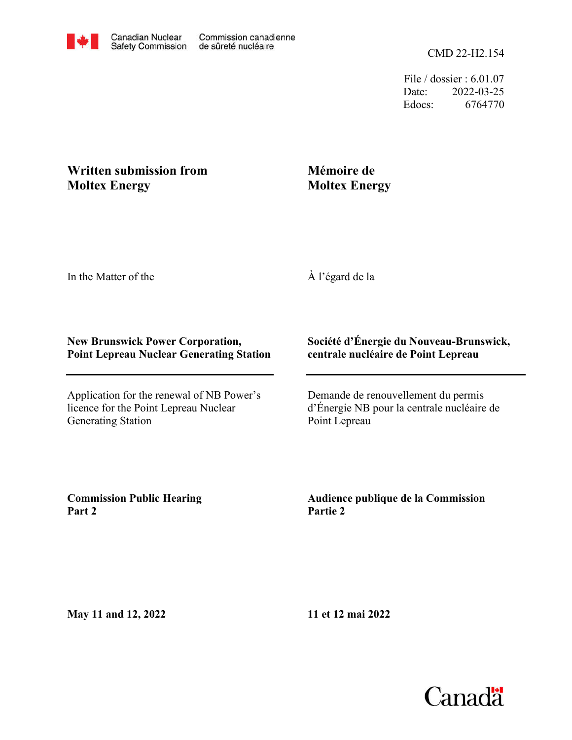File / dossier : 6.01.07 Date: 2022-03-25 Edocs: 6764770

## **Moltex Energy Written submission from**

# **Mémoire de Moltex Energy**

In the Matter of the

À l'égard de la

#### **New Brunswick Power Corporation, Point Lepreau Nuclear Generating Station**

Application for the renewal of NB Power's licence for the Point Lepreau Nuclear Generating Station

### **Société d'Énergie du Nouveau-Brunswick, centrale nucléaire de Point Lepreau**

Demande de renouvellement du permis d'Énergie NB pour la centrale nucléaire de Point Lepreau

**Commission Public Hearing Part 2**

**Audience publique de la Commission Partie 2**

**May 11 and 12, 2022**

**11 et 12 mai 2022**

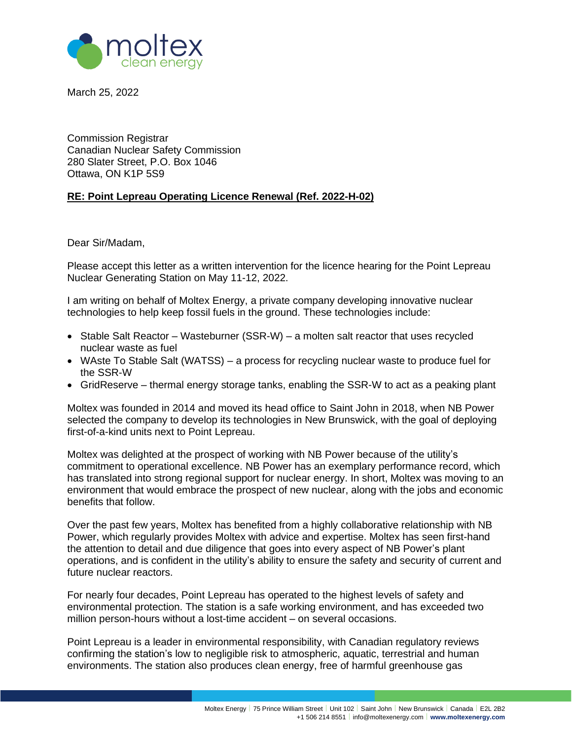

March 25, 2022

Commission Registrar Canadian Nuclear Safety Commission 280 Slater Street, P.O. Box 1046 Ottawa, ON K1P 5S9

#### **RE: Point Lepreau Operating Licence Renewal (Ref. 2022-H-02)**

Dear Sir/Madam,

Please accept this letter as a written intervention for the licence hearing for the Point Lepreau Nuclear Generating Station on May 11-12, 2022.

I am writing on behalf of Moltex Energy, a private company developing innovative nuclear technologies to help keep fossil fuels in the ground. These technologies include:

- Stable Salt Reactor Wasteburner (SSR-W) a molten salt reactor that uses recycled nuclear waste as fuel
- WAste To Stable Salt (WATSS) a process for recycling nuclear waste to produce fuel for the SSR-W
- GridReserve thermal energy storage tanks, enabling the SSR-W to act as a peaking plant

Moltex was founded in 2014 and moved its head office to Saint John in 2018, when NB Power selected the company to develop its technologies in New Brunswick, with the goal of deploying first-of-a-kind units next to Point Lepreau.

Moltex was delighted at the prospect of working with NB Power because of the utility's commitment to operational excellence. NB Power has an exemplary performance record, which has translated into strong regional support for nuclear energy. In short, Moltex was moving to an environment that would embrace the prospect of new nuclear, along with the jobs and economic benefits that follow.

Over the past few years, Moltex has benefited from a highly collaborative relationship with NB Power, which regularly provides Moltex with advice and expertise. Moltex has seen first-hand the attention to detail and due diligence that goes into every aspect of NB Power's plant operations, and is confident in the utility's ability to ensure the safety and security of current and future nuclear reactors.

For nearly four decades, Point Lepreau has operated to the highest levels of safety and environmental protection. The station is a safe working environment, and has exceeded two million person-hours without a lost-time accident – on several occasions.

Point Lepreau is a leader in environmental responsibility, with Canadian regulatory reviews confirming the station's low to negligible risk to atmospheric, aquatic, terrestrial and human environments. The station also produces clean energy, free of harmful greenhouse gas